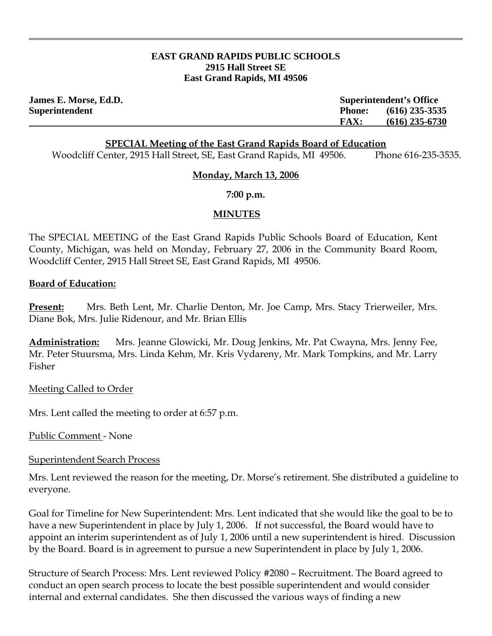#### **EAST GRAND RAPIDS PUBLIC SCHOOLS 2915 Hall Street SE East Grand Rapids, MI 49506**

**James E. Morse, Ed.D. Superintendent's Office Superintendent Phone: (616) 235-3535 FAX: (616) 235-6730**

### **SPECIAL Meeting of the East Grand Rapids Board of Education**

Woodcliff Center, 2915 Hall Street, SE, East Grand Rapids, MI 49506. Phone 616-235-3535.

#### **Monday, March 13, 2006**

**7:00 p.m.** 

## **MINUTES**

The SPECIAL MEETING of the East Grand Rapids Public Schools Board of Education, Kent County, Michigan, was held on Monday, February 27, 2006 in the Community Board Room, Woodcliff Center, 2915 Hall Street SE, East Grand Rapids, MI 49506.

#### **Board of Education:**

**Present:** Mrs. Beth Lent, Mr. Charlie Denton, Mr. Joe Camp, Mrs. Stacy Trierweiler, Mrs. Diane Bok, Mrs. Julie Ridenour, and Mr. Brian Ellis

**Administration:** Mrs. Jeanne Glowicki, Mr. Doug Jenkins, Mr. Pat Cwayna, Mrs. Jenny Fee, Mr. Peter Stuursma, Mrs. Linda Kehm, Mr. Kris Vydareny, Mr. Mark Tompkins, and Mr. Larry Fisher

Meeting Called to Order

Mrs. Lent called the meeting to order at 6:57 p.m.

Public Comment - None

## Superintendent Search Process

Mrs. Lent reviewed the reason for the meeting, Dr. Morse's retirement. She distributed a guideline to everyone.

Goal for Timeline for New Superintendent: Mrs. Lent indicated that she would like the goal to be to have a new Superintendent in place by July 1, 2006. If not successful, the Board would have to appoint an interim superintendent as of July 1, 2006 until a new superintendent is hired. Discussion by the Board. Board is in agreement to pursue a new Superintendent in place by July 1, 2006.

Structure of Search Process: Mrs. Lent reviewed Policy #2080 – Recruitment. The Board agreed to conduct an open search process to locate the best possible superintendent and would consider internal and external candidates. She then discussed the various ways of finding a new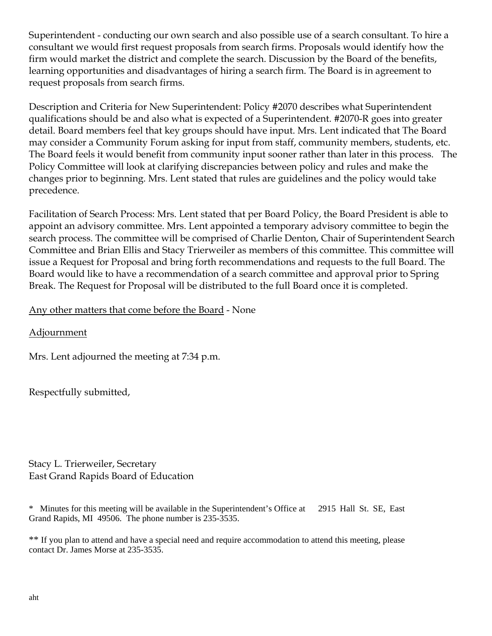Superintendent - conducting our own search and also possible use of a search consultant. To hire a consultant we would first request proposals from search firms. Proposals would identify how the firm would market the district and complete the search. Discussion by the Board of the benefits, learning opportunities and disadvantages of hiring a search firm. The Board is in agreement to request proposals from search firms.

Description and Criteria for New Superintendent: Policy #2070 describes what Superintendent qualifications should be and also what is expected of a Superintendent. #2070-R goes into greater detail. Board members feel that key groups should have input. Mrs. Lent indicated that The Board may consider a Community Forum asking for input from staff, community members, students, etc. The Board feels it would benefit from community input sooner rather than later in this process. The Policy Committee will look at clarifying discrepancies between policy and rules and make the changes prior to beginning. Mrs. Lent stated that rules are guidelines and the policy would take precedence.

Facilitation of Search Process: Mrs. Lent stated that per Board Policy, the Board President is able to appoint an advisory committee. Mrs. Lent appointed a temporary advisory committee to begin the search process. The committee will be comprised of Charlie Denton, Chair of Superintendent Search Committee and Brian Ellis and Stacy Trierweiler as members of this committee. This committee will issue a Request for Proposal and bring forth recommendations and requests to the full Board. The Board would like to have a recommendation of a search committee and approval prior to Spring Break. The Request for Proposal will be distributed to the full Board once it is completed.

# Any other matters that come before the Board - None

Adjournment

Mrs. Lent adjourned the meeting at 7:34 p.m.

Respectfully submitted,

Stacy L. Trierweiler, Secretary East Grand Rapids Board of Education

\* Minutes for this meeting will be available in the Superintendent's Office at 2915 Hall St. SE, East Grand Rapids, MI 49506. The phone number is 235-3535.

\*\* If you plan to attend and have a special need and require accommodation to attend this meeting, please contact Dr. James Morse at 235-3535.